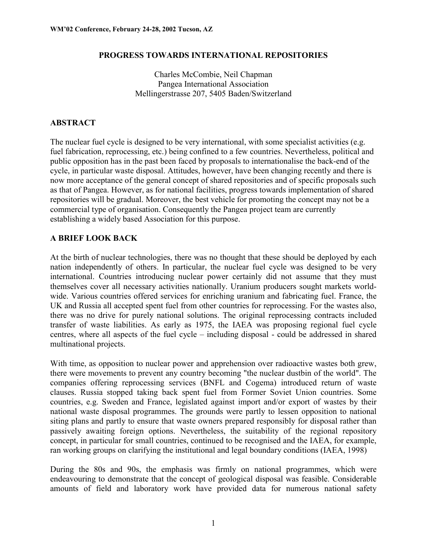#### **PROGRESS TOWARDS INTERNATIONAL REPOSITORIES**

Charles McCombie, Neil Chapman Pangea International Association Mellingerstrasse 207, 5405 Baden/Switzerland

### **ABSTRACT**

The nuclear fuel cycle is designed to be very international, with some specialist activities (e.g. fuel fabrication, reprocessing, etc.) being confined to a few countries. Nevertheless, political and public opposition has in the past been faced by proposals to internationalise the back-end of the cycle, in particular waste disposal. Attitudes, however, have been changing recently and there is now more acceptance of the general concept of shared repositories and of specific proposals such as that of Pangea. However, as for national facilities, progress towards implementation of shared repositories will be gradual. Moreover, the best vehicle for promoting the concept may not be a commercial type of organisation. Consequently the Pangea project team are currently establishing a widely based Association for this purpose.

### **A BRIEF LOOK BACK**

At the birth of nuclear technologies, there was no thought that these should be deployed by each nation independently of others. In particular, the nuclear fuel cycle was designed to be very international. Countries introducing nuclear power certainly did not assume that they must themselves cover all necessary activities nationally. Uranium producers sought markets worldwide. Various countries offered services for enriching uranium and fabricating fuel. France, the UK and Russia all accepted spent fuel from other countries for reprocessing. For the wastes also, there was no drive for purely national solutions. The original reprocessing contracts included transfer of waste liabilities. As early as 1975, the IAEA was proposing regional fuel cycle centres, where all aspects of the fuel cycle – including disposal - could be addressed in shared multinational projects.

With time, as opposition to nuclear power and apprehension over radioactive wastes both grew, there were movements to prevent any country becoming "the nuclear dustbin of the world". The companies offering reprocessing services (BNFL and Cogema) introduced return of waste clauses. Russia stopped taking back spent fuel from Former Soviet Union countries. Some countries, e.g. Sweden and France, legislated against import and/or export of wastes by their national waste disposal programmes. The grounds were partly to lessen opposition to national siting plans and partly to ensure that waste owners prepared responsibly for disposal rather than passively awaiting foreign options. Nevertheless, the suitability of the regional repository concept, in particular for small countries, continued to be recognised and the IAEA, for example, ran working groups on clarifying the institutional and legal boundary conditions (IAEA, 1998)

During the 80s and 90s, the emphasis was firmly on national programmes, which were endeavouring to demonstrate that the concept of geological disposal was feasible. Considerable amounts of field and laboratory work have provided data for numerous national safety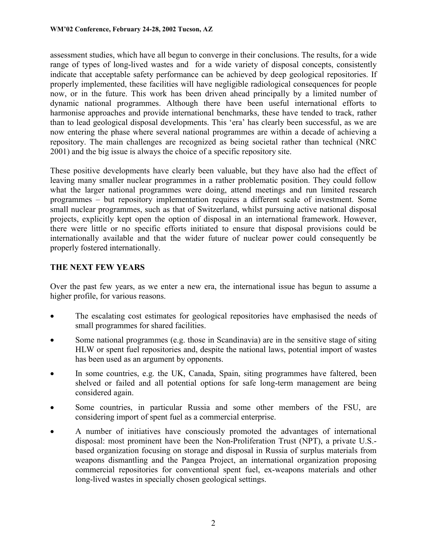assessment studies, which have all begun to converge in their conclusions. The results, for a wide range of types of long-lived wastes and for a wide variety of disposal concepts, consistently indicate that acceptable safety performance can be achieved by deep geological repositories. If properly implemented, these facilities will have negligible radiological consequences for people now, or in the future. This work has been driven ahead principally by a limited number of dynamic national programmes. Although there have been useful international efforts to harmonise approaches and provide international benchmarks, these have tended to track, rather than to lead geological disposal developments. This 'era' has clearly been successful, as we are now entering the phase where several national programmes are within a decade of achieving a repository. The main challenges are recognized as being societal rather than technical (NRC 2001) and the big issue is always the choice of a specific repository site.

These positive developments have clearly been valuable, but they have also had the effect of leaving many smaller nuclear programmes in a rather problematic position. They could follow what the larger national programmes were doing, attend meetings and run limited research programmes – but repository implementation requires a different scale of investment. Some small nuclear programmes, such as that of Switzerland, whilst pursuing active national disposal projects, explicitly kept open the option of disposal in an international framework. However, there were little or no specific efforts initiated to ensure that disposal provisions could be internationally available and that the wider future of nuclear power could consequently be properly fostered internationally.

## **THE NEXT FEW YEARS**

Over the past few years, as we enter a new era, the international issue has begun to assume a higher profile, for various reasons.

- $\bullet$  The escalating cost estimates for geological repositories have emphasised the needs of small programmes for shared facilities.
- $\bullet$  Some national programmes (e.g. those in Scandinavia) are in the sensitive stage of siting HLW or spent fuel repositories and, despite the national laws, potential import of wastes has been used as an argument by opponents.
- - In some countries, e.g. the UK, Canada, Spain, siting programmes have faltered, been shelved or failed and all potential options for safe long-term management are being considered again.
- - Some countries, in particular Russia and some other members of the FSU, are considering import of spent fuel as a commercial enterprise.
- $\bullet$  A number of initiatives have consciously promoted the advantages of international disposal: most prominent have been the Non-Proliferation Trust (NPT), a private U.S. based organization focusing on storage and disposal in Russia of surplus materials from weapons dismantling and the Pangea Project, an international organization proposing commercial repositories for conventional spent fuel, ex-weapons materials and other long-lived wastes in specially chosen geological settings.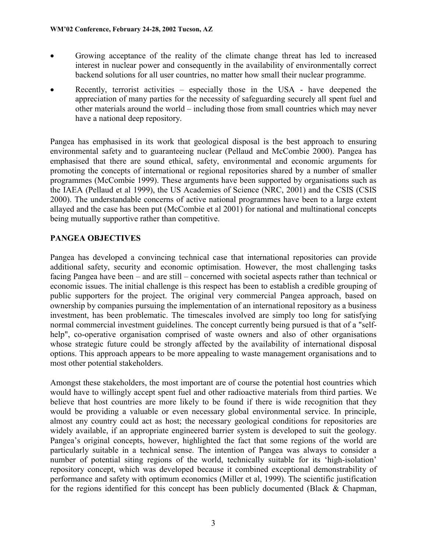- $\bullet$  Growing acceptance of the reality of the climate change threat has led to increased interest in nuclear power and consequently in the availability of environmentally correct backend solutions for all user countries, no matter how small their nuclear programme.
- $\bullet$  Recently, terrorist activities – especially those in the USA - have deepened the appreciation of many parties for the necessity of safeguarding securely all spent fuel and other materials around the world – including those from small countries which may never have a national deep repository.

Pangea has emphasised in its work that geological disposal is the best approach to ensuring environmental safety and to guaranteeing nuclear (Pellaud and McCombie 2000). Pangea has emphasised that there are sound ethical, safety, environmental and economic arguments for promoting the concepts of international or regional repositories shared by a number of smaller programmes (McCombie 1999). These arguments have been supported by organisations such as the IAEA (Pellaud et al 1999), the US Academies of Science (NRC, 2001) and the CSIS (CSIS 2000). The understandable concerns of active national programmes have been to a large extent allayed and the case has been put (McCombie et al 2001) for national and multinational concepts being mutually supportive rather than competitive.

# **PANGEA OBJECTIVES**

Pangea has developed a convincing technical case that international repositories can provide additional safety, security and economic optimisation. However, the most challenging tasks facing Pangea have been – and are still – concerned with societal aspects rather than technical or economic issues. The initial challenge is this respect has been to establish a credible grouping of public supporters for the project. The original very commercial Pangea approach, based on ownership by companies pursuing the implementation of an international repository as a business investment, has been problematic. The timescales involved are simply too long for satisfying normal commercial investment guidelines. The concept currently being pursued is that of a "selfhelp", co-operative organisation comprised of waste owners and also of other organisations whose strategic future could be strongly affected by the availability of international disposal options. This approach appears to be more appealing to waste management organisations and to most other potential stakeholders.

Amongst these stakeholders, the most important are of course the potential host countries which would have to willingly accept spent fuel and other radioactive materials from third parties. We believe that host countries are more likely to be found if there is wide recognition that they would be providing a valuable or even necessary global environmental service. In principle, almost any country could act as host; the necessary geological conditions for repositories are widely available, if an appropriate engineered barrier system is developed to suit the geology. Pangea's original concepts, however, highlighted the fact that some regions of the world are particularly suitable in a technical sense. The intention of Pangea was always to consider a number of potential siting regions of the world, technically suitable for its 'high-isolation' repository concept, which was developed because it combined exceptional demonstrability of performance and safety with optimum economics (Miller et al, 1999). The scientific justification for the regions identified for this concept has been publicly documented (Black & Chapman,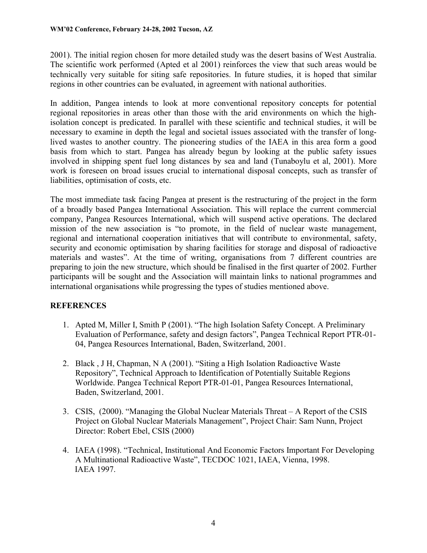2001). The initial region chosen for more detailed study was the desert basins of West Australia. The scientific work performed (Apted et al 2001) reinforces the view that such areas would be technically very suitable for siting safe repositories. In future studies, it is hoped that similar regions in other countries can be evaluated, in agreement with national authorities.

In addition, Pangea intends to look at more conventional repository concepts for potential regional repositories in areas other than those with the arid environments on which the highisolation concept is predicated. In parallel with these scientific and technical studies, it will be necessary to examine in depth the legal and societal issues associated with the transfer of longlived wastes to another country. The pioneering studies of the IAEA in this area form a good basis from which to start. Pangea has already begun by looking at the public safety issues involved in shipping spent fuel long distances by sea and land (Tunaboylu et al, 2001). More work is foreseen on broad issues crucial to international disposal concepts, such as transfer of liabilities, optimisation of costs, etc.

The most immediate task facing Pangea at present is the restructuring of the project in the form of a broadly based Pangea International Association. This will replace the current commercial company, Pangea Resources International, which will suspend active operations. The declared mission of the new association is "to promote, in the field of nuclear waste management, regional and international cooperation initiatives that will contribute to environmental, safety, security and economic optimisation by sharing facilities for storage and disposal of radioactive materials and wastes". At the time of writing, organisations from 7 different countries are preparing to join the new structure, which should be finalised in the first quarter of 2002. Further participants will be sought and the Association will maintain links to national programmes and international organisations while progressing the types of studies mentioned above.

### **REFERENCES**

- 1. Apted M, Miller I, Smith P (2001). "The high Isolation Safety Concept. A Preliminary Evaluation of Performance, safety and design factors", Pangea Technical Report PTR-01- 04, Pangea Resources International, Baden, Switzerland, 2001.
- 2. Black , J H, Chapman, N A (2001). "Siting a High Isolation Radioactive Waste Repository", Technical Approach to Identification of Potentially Suitable Regions Worldwide. Pangea Technical Report PTR-01-01, Pangea Resources International, Baden, Switzerland, 2001.
- 3. CSIS, (2000). "Managing the Global Nuclear Materials Threat A Report of the CSIS Project on Global Nuclear Materials Management", Project Chair: Sam Nunn, Project Director: Robert Ebel, CSIS (2000)
- 4. IAEA (1998). "Technical, Institutional And Economic Factors Important For Developing A Multinational Radioactive Waste", TECDOC 1021, IAEA, Vienna, 1998. IAEA 1997.